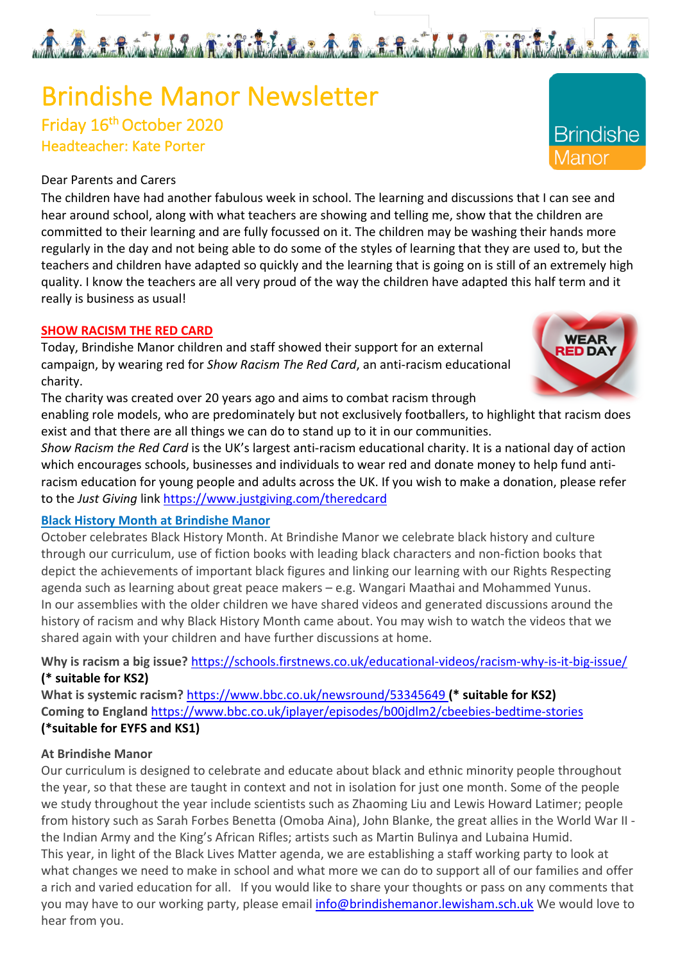# Brindishe Manor Newsletter<br>Friday 16<sup>th</sup> October 2020 Headteacher: Kate Porter

#### Dear Parents and Carers

The children have had another fabulous week in school. The learning and discussions that I can see and hear around school, along with what teachers are showing and telling me, show that the children are committed to their learning and are fully focussed on it. The children may be washing their hands more regularly in the day and not being able to do some of the styles of learning that they are used to, but the teachers and children have adapted so quickly and the learning that is going on is still of an extremely high quality. I know the teachers are all very proud of the way the children have adapted this half term and it really is business as usual!

#### **SHOW RACISM THE RED CARD**

Today, Brindishe Manor children and staff showed their support for an external campaign, by wearing red for *Show Racism The Red Card*, an anti-racism educational charity.

The charity was created over 20 years ago and aims to combat racism through

enabling role models, who are predominately but not exclusively footballers, to highlight that racism does exist and that there are all things we can do to stand up to it in our communities.

*Show Racism the Red Card* is the UK's largest anti-racism educational charity. It is a national day of action which encourages schools, businesses and individuals to wear red and donate money to help fund antiracism education for young people and adults across the UK. If you wish to make a donation, please refer to the *Just Giving* link https://www.justgiving.com/theredcard

#### **Black History Month at Brindishe Manor**

October celebrates Black History Month. At Brindishe Manor we celebrate black history and culture through our curriculum, use of fiction books with leading black characters and non-fiction books that depict the achievements of important black figures and linking our learning with our Rights Respecting agenda such as learning about great peace makers – e.g. Wangari Maathai and Mohammed Yunus. In our assemblies with the older children we have shared videos and generated discussions around the history of racism and why Black History Month came about. You may wish to watch the videos that we shared again with your children and have further discussions at home.

Why is racism a big issue? https://schools.firstnews.co.uk/educational-videos/racism-why-is-it-big-issue/ **(\* suitable for KS2)**

**What is systemic racism?** https://www.bbc.co.uk/newsround/53345649 **(\* suitable for KS2) Coming to England** https://www.bbc.co.uk/iplayer/episodes/b00jdlm2/cbeebies-bedtime-stories **(\*suitable for EYFS and KS1)**

#### **At Brindishe Manor**

Our curriculum is designed to celebrate and educate about black and ethnic minority people throughout the year, so that these are taught in context and not in isolation for just one month. Some of the people we study throughout the year include scientists such as Zhaoming Liu and Lewis Howard Latimer; people from history such as Sarah Forbes Benetta (Omoba Aina), John Blanke, the great allies in the World War II the Indian Army and the King's African Rifles; artists such as Martin Bulinya and Lubaina Humid. This year, in light of the Black Lives Matter agenda, we are establishing a staff working party to look at what changes we need to make in school and what more we can do to support all of our families and offer a rich and varied education for all. If you would like to share your thoughts or pass on any comments that you may have to our working party, please email info@brindishemanor.lewisham.sch.uk We would love to hear from you.





And Constitution of the Constitution of the Constitution of the Constitution of the Constitution of the Constitution of the Constitution of the Constitution of the Constitution of the Constitution of the Constitution of th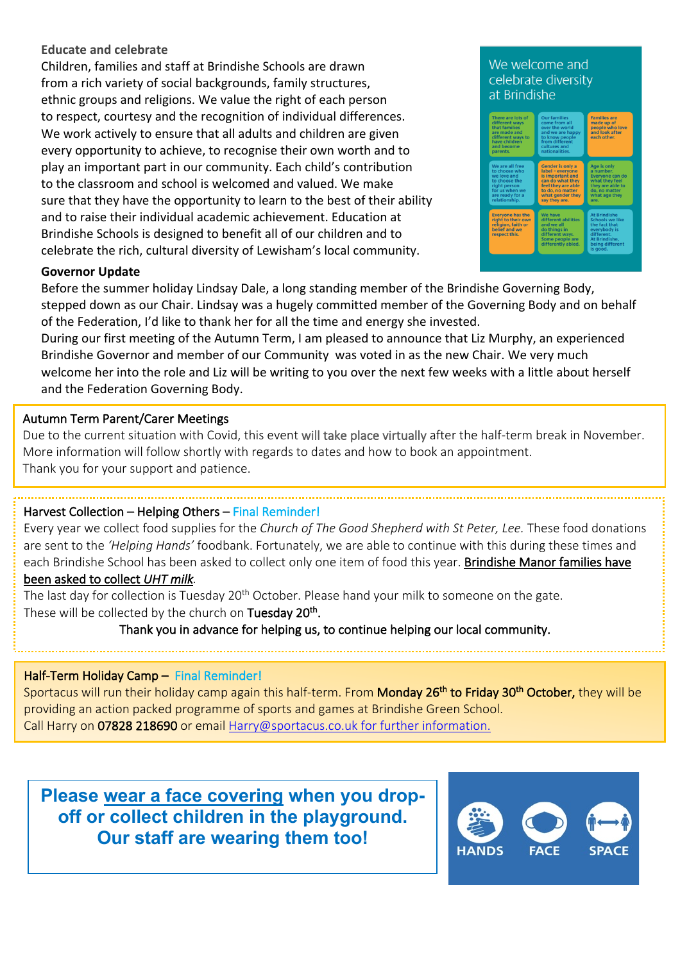#### **Educate and celebrate**

Children, families and staff at Brindishe Schools are drawn from a rich variety of social backgrounds, family structures, ethnic groups and religions. We value the right of each person to respect, courtesy and the recognition of individual differences. We work actively to ensure that all adults and children are given every opportunity to achieve, to recognise their own worth and to play an important part in our community. Each child's contribution to the classroom and school is welcomed and valued. We make sure that they have the opportunity to learn to the best of their ability and to raise their individual academic achievement. Education at Brindishe Schools is designed to benefit all of our children and to celebrate the rich, cultural diversity of Lewisham's local community.

#### We welcome and celebrate diversity at Brindishe



#### **Governor Update**

L

Before the summer holiday Lindsay Dale, a long standing member of the Brindishe Governing Body, stepped down as our Chair. Lindsay was a hugely committed member of the Governing Body and on behalf of the Federation, I'd like to thank her for all the time and energy she invested.

During our first meeting of the Autumn Term, I am pleased to announce that Liz Murphy, an experienced Brindishe Governor and member of our Community was voted in as the new Chair. We very much welcome her into the role and Liz will be writing to you over the next few weeks with a little about herself and the Federation Governing Body.

#### Autumn Term Parent/Carer Meetings

Due to the current situation with Covid, this event will take place virtually after the half-term break in November. More information will follow shortly with regards to dates and how to book an appointment. Thank you for your support and patience.

#### Harvest Collection – Helping Others – Final Reminder!

Every year we collect food supplies for the *Church of The Good Shepherd with St Peter, Lee.* These food donations are sent to the *'Helping Hands'* foodbank. Fortunately, we are able to continue with this during these times and each Brindishe School has been asked to collect only one item of food this year. Brindishe Manor families have

#### been asked to collect *UHT milk.*

The last day for collection is Tuesday 20<sup>th</sup> October. Please hand your milk to someone on the gate. These will be collected by the church on Tuesday 20<sup>th</sup>.

Thank you in advance for helping us, to continue helping our local community.

#### Half-Term Holiday Camp – Final Reminder!

Sportacus will run their holiday camp again this half-term. From Monday 26<sup>th</sup> to Friday 30<sup>th</sup> October, they will be providing an action packed programme of sports and games at Brindishe Green School. Call Harry on 07828 218690 or email Harry@sportacus.co.uk for further information.

**Please wear a face covering when you dropoff or collect children in the playground. Our staff are wearing them too!**